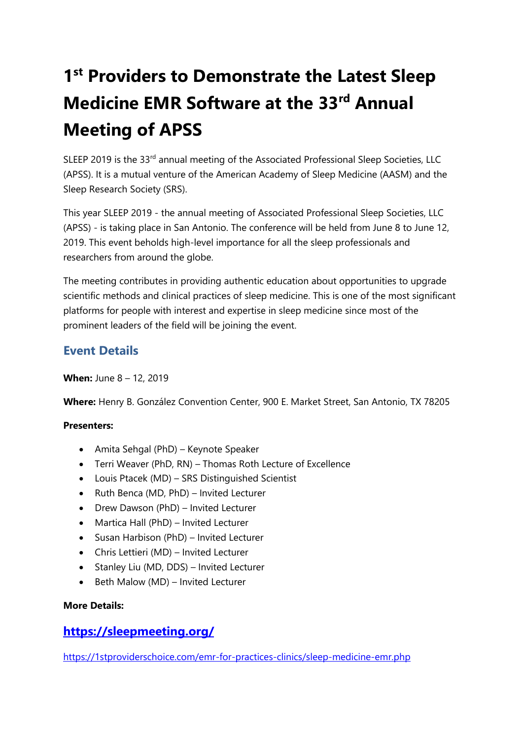# 1<sup>st</sup> Providers to Demonstrate the Latest Sleep **Medicine EMR Software at the 33rd Annual Meeting of APSS**

SLEEP 2019 is the 33rd annual meeting of the Associated Professional Sleep Societies, LLC (APSS). It is a mutual venture of the American Academy of Sleep Medicine (AASM) and the Sleep Research Society (SRS).

This year SLEEP 2019 - the annual meeting of Associated Professional Sleep Societies, LLC (APSS) - is taking place in San Antonio. The conference will be held from June 8 to June 12, 2019. This event beholds high-level importance for all the sleep professionals and researchers from around the globe.

The meeting contributes in providing authentic education about opportunities to upgrade scientific methods and clinical practices of sleep medicine. This is one of the most significant platforms for people with interest and expertise in sleep medicine since most of the prominent leaders of the field will be joining the event.

# **Event Details**

**When:** June 8 – 12, 2019

**Where:** Henry B. González Convention Center, 900 E. Market Street, San Antonio, TX 78205

#### **Presenters:**

- Amita Sehgal (PhD) Keynote Speaker
- Terri Weaver (PhD, RN) Thomas Roth Lecture of Excellence
- Louis Ptacek (MD) SRS Distinguished Scientist
- Ruth Benca (MD, PhD) Invited Lecturer
- Drew Dawson (PhD) Invited Lecturer
- Martica Hall (PhD) Invited Lecturer
- Susan Harbison (PhD) Invited Lecturer
- Chris Lettieri (MD) Invited Lecturer
- Stanley Liu (MD, DDS) Invited Lecturer
- Beth Malow (MD) Invited Lecturer

#### **More Details:**

### **<https://sleepmeeting.org/>**

<https://1stproviderschoice.com/emr-for-practices-clinics/sleep-medicine-emr.php>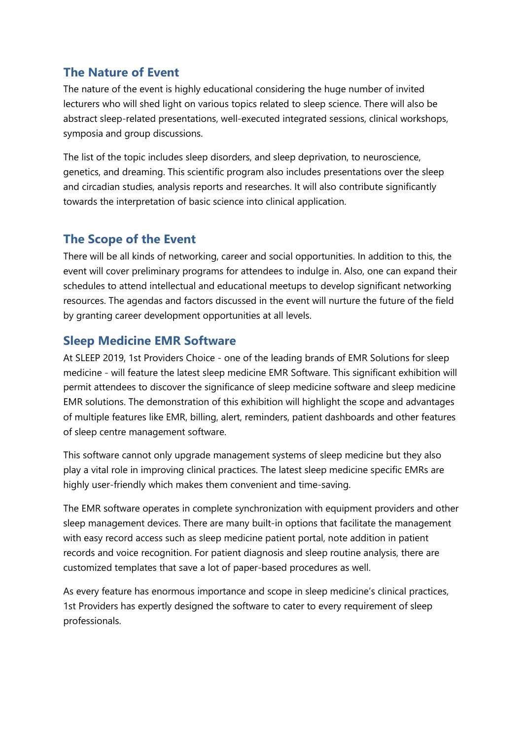## **The Nature of Event**

The nature of the event is highly educational considering the huge number of invited lecturers who will shed light on various topics related to sleep science. There will also be abstract sleep-related presentations, well-executed integrated sessions, clinical workshops, symposia and group discussions.

The list of the topic includes sleep disorders, and sleep deprivation, to neuroscience, genetics, and dreaming. This scientific program also includes presentations over the sleep and circadian studies, analysis reports and researches. It will also contribute significantly towards the interpretation of basic science into clinical application.

## **The Scope of the Event**

There will be all kinds of networking, career and social opportunities. In addition to this, the event will cover preliminary programs for attendees to indulge in. Also, one can expand their schedules to attend intellectual and educational meetups to develop significant networking resources. The agendas and factors discussed in the event will nurture the future of the field by granting career development opportunities at all levels.

### **Sleep Medicine EMR Software**

At SLEEP 2019, 1st Providers Choice - one of the leading brands of EMR Solutions for sleep medicine - will feature the latest sleep medicine EMR Software. This significant exhibition will permit attendees to discover the significance of sleep medicine software and sleep medicine EMR solutions. The demonstration of this exhibition will highlight the scope and advantages of multiple features like EMR, billing, alert, reminders, patient dashboards and other features of sleep centre management software.

This software cannot only upgrade management systems of sleep medicine but they also play a vital role in improving clinical practices. The latest sleep medicine specific EMRs are highly user-friendly which makes them convenient and time-saving.

The EMR software operates in complete synchronization with equipment providers and other sleep management devices. There are many built-in options that facilitate the management with easy record access such as sleep medicine patient portal, note addition in patient records and voice recognition. For patient diagnosis and sleep routine analysis, there are customized templates that save a lot of paper-based procedures as well.

As every feature has enormous importance and scope in sleep medicine's clinical practices, 1st Providers has expertly designed the software to cater to every requirement of sleep professionals.